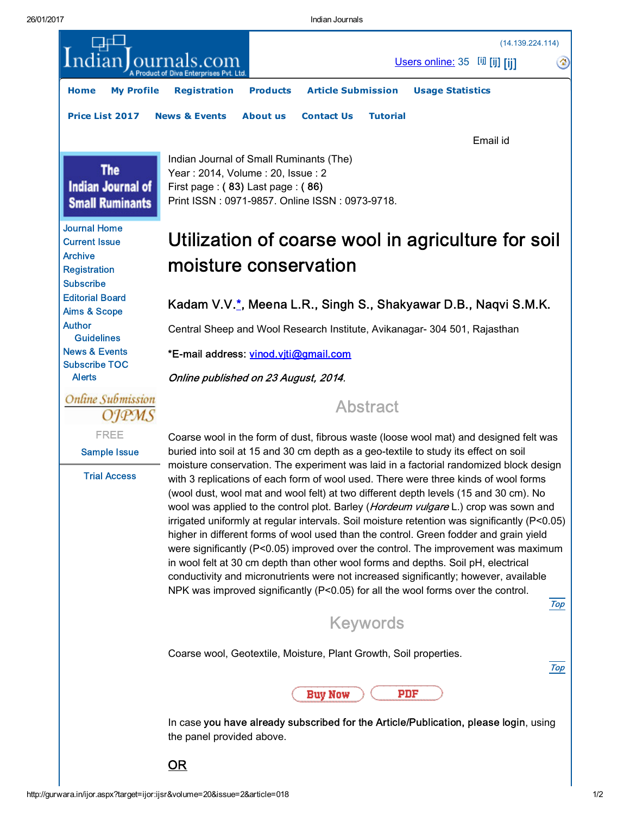<span id="page-0-1"></span>26/01/2017 Indian Journals

<span id="page-0-0"></span>